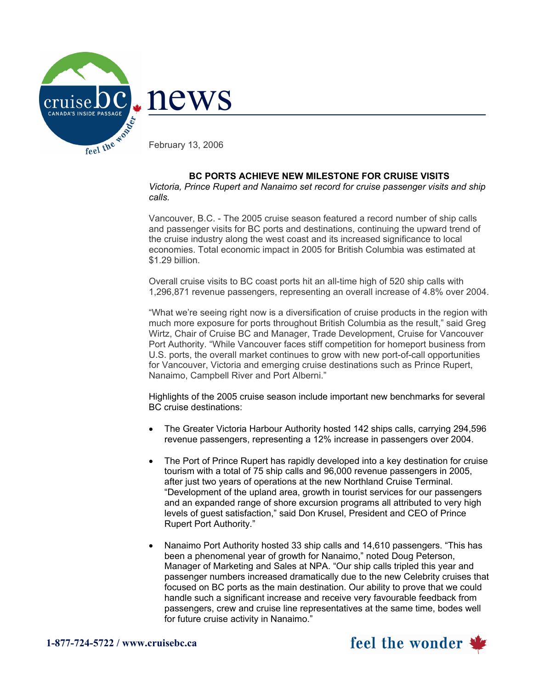

## **BC PORTS ACHIEVE NEW MILESTONE FOR CRUISE VISITS**

*Victoria, Prince Rupert and Nanaimo set record for cruise passenger visits and ship calls.* 

Vancouver, B.C. - The 2005 cruise season featured a record number of ship calls and passenger visits for BC ports and destinations, continuing the upward trend of the cruise industry along the west coast and its increased significance to local economies. Total economic impact in 2005 for British Columbia was estimated at \$1.29 billion.

Overall cruise visits to BC coast ports hit an all-time high of 520 ship calls with 1,296,871 revenue passengers, representing an overall increase of 4.8% over 2004.

"What we're seeing right now is a diversification of cruise products in the region with much more exposure for ports throughout British Columbia as the result," said Greg Wirtz, Chair of Cruise BC and Manager, Trade Development, Cruise for Vancouver Port Authority. "While Vancouver faces stiff competition for homeport business from U.S. ports, the overall market continues to grow with new port-of-call opportunities for Vancouver, Victoria and emerging cruise destinations such as Prince Rupert, Nanaimo, Campbell River and Port Alberni."

Highlights of the 2005 cruise season include important new benchmarks for several BC cruise destinations:

- The Greater Victoria Harbour Authority hosted 142 ships calls, carrying 294,596 revenue passengers, representing a 12% increase in passengers over 2004.
- The Port of Prince Rupert has rapidly developed into a key destination for cruise tourism with a total of 75 ship calls and 96,000 revenue passengers in 2005, after just two years of operations at the new Northland Cruise Terminal. "Development of the upland area, growth in tourist services for our passengers and an expanded range of shore excursion programs all attributed to very high levels of guest satisfaction," said Don Krusel, President and CEO of Prince Rupert Port Authority."
- Nanaimo Port Authority hosted 33 ship calls and 14,610 passengers. "This has been a phenomenal year of growth for Nanaimo," noted Doug Peterson, Manager of Marketing and Sales at NPA. "Our ship calls tripled this year and passenger numbers increased dramatically due to the new Celebrity cruises that focused on BC ports as the main destination. Our ability to prove that we could handle such a significant increase and receive very favourable feedback from passengers, crew and cruise line representatives at the same time, bodes well for future cruise activity in Nanaimo."